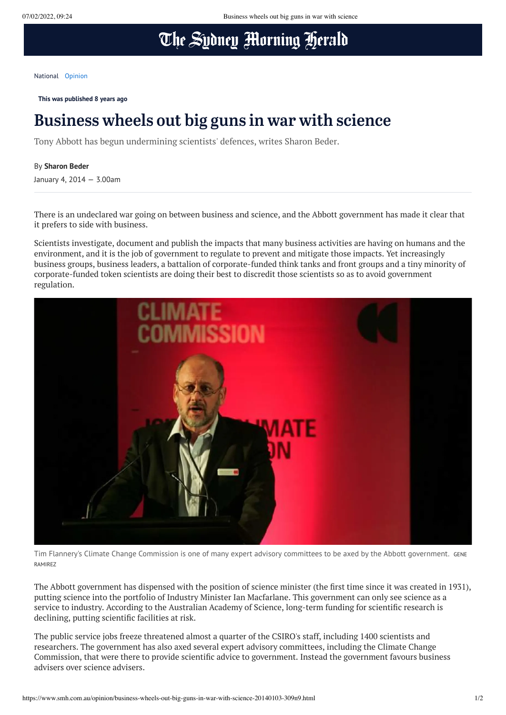## The Sydney Morning Herald

[National](https://www.smh.com.au/national) [Opinion](https://www.smh.com.au/opinion)

**This was published 8 years ago**

## Business wheels out big guns in war with science

Tony Abbott has begun undermining scientists' defences, writes Sharon Beder.

## By **Sharon Beder**

January 4, 2014 — 3.00am

There is an undeclared war going on between business and science, and the Abbott government has made it clear that it prefers to side with business.

Scientists investigate, document and publish the impacts that many business activities are having on humans and the environment, and it is the job of government to regulate to prevent and mitigate those impacts. Yet increasingly business groups, business leaders, a battalion of corporate-funded think tanks and front groups and a tiny minority of corporate-funded token scientists are doing their best to discredit those scientists so as to avoid government regulation.



Tim Flannery's Climate Change Commission is one of many expert advisory committees to be axed by the Abbott government. GENE RAMIREZ

The Abbott government has dispensed with the position of science minister (the first time since it was created in 1931), putting science into the portfolio of Industry Minister Ian Macfarlane. This government can only see science as a service to industry. According to the Australian Academy of Science, long-term funding for scientific research is declining, putting scientific facilities at risk.

The public service jobs freeze threatened almost a quarter of the CSIRO's staff, including 1400 scientists and researchers. The government has also axed several expert advisory committees, including the Climate Change Commission, that were there to provide scientific advice to government. Instead the government favours business advisers over science advisers.